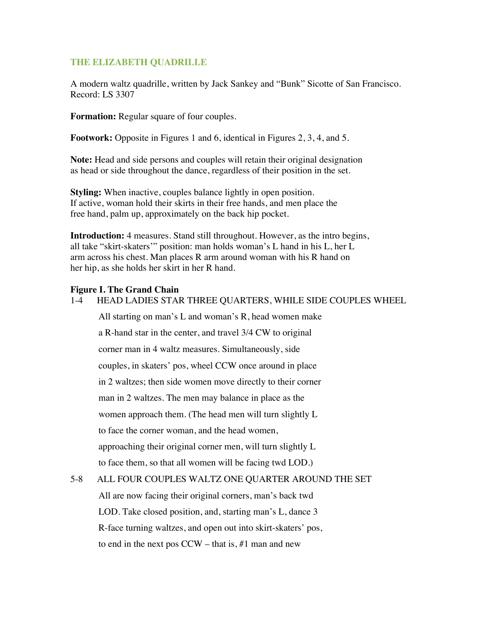#### **THE ELIZABETH QUADRILLE**

A modern waltz quadrille, written by Jack Sankey and "Bunk" Sicotte of San Francisco. Record: LS 3307

**Formation:** Regular square of four couples.

**Footwork:** Opposite in Figures 1 and 6, identical in Figures 2, 3, 4, and 5.

**Note:** Head and side persons and couples will retain their original designation as head or side throughout the dance, regardless of their position in the set.

**Styling:** When inactive, couples balance lightly in open position. If active, woman hold their skirts in their free hands, and men place the free hand, palm up, approximately on the back hip pocket.

**Introduction:** 4 measures. Stand still throughout. However, as the intro begins, all take "skirt-skaters'" position: man holds woman's L hand in his L, her L arm across his chest. Man places R arm around woman with his R hand on her hip, as she holds her skirt in her R hand.

#### **Figure I. The Grand Chain**

1-4 HEAD LADIES STAR THREE QUARTERS, WHILE SIDE COUPLES WHEEL

All starting on man's L and woman's R, head women make

a R-hand star in the center, and travel 3/4 CW to original

corner man in 4 waltz measures. Simultaneously, side

couples, in skaters' pos, wheel CCW once around in place

in 2 waltzes; then side women move directly to their corner

man in 2 waltzes. The men may balance in place as the

women approach them. (The head men will turn slightly L

to face the corner woman, and the head women,

approaching their original corner men, will turn slightly L

to face them, so that all women will be facing twd LOD.)

#### 5-8 ALL FOUR COUPLES WALTZ ONE QUARTER AROUND THE SET

All are now facing their original corners, man's back twd LOD. Take closed position, and, starting man's L, dance 3 R-face turning waltzes, and open out into skirt-skaters' pos, to end in the next pos  $CCW - that$  is, #1 man and new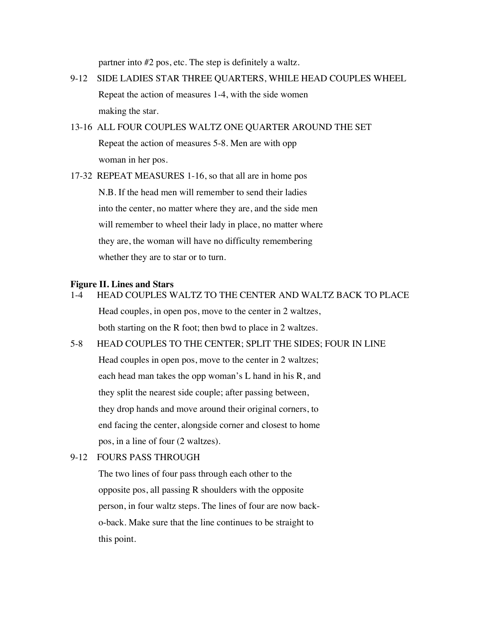partner into #2 pos, etc. The step is definitely a waltz.

- 9-12 SIDE LADIES STAR THREE QUARTERS, WHILE HEAD COUPLES WHEEL Repeat the action of measures 1-4, with the side women making the star.
- 13-16 ALL FOUR COUPLES WALTZ ONE QUARTER AROUND THE SET Repeat the action of measures 5-8. Men are with opp woman in her pos.

17-32 REPEAT MEASURES 1-16, so that all are in home pos N.B. If the head men will remember to send their ladies into the center, no matter where they are, and the side men will remember to wheel their lady in place, no matter where they are, the woman will have no difficulty remembering whether they are to star or to turn.

# **Figure II. Lines and Stars**

1-4 HEAD COUPLES WALTZ TO THE CENTER AND WALTZ BACK TO PLACE

Head couples, in open pos, move to the center in 2 waltzes, both starting on the R foot; then bwd to place in 2 waltzes.

5-8 HEAD COUPLES TO THE CENTER; SPLIT THE SIDES; FOUR IN LINE

Head couples in open pos, move to the center in 2 waltzes; each head man takes the opp woman's L hand in his R, and they split the nearest side couple; after passing between, they drop hands and move around their original corners, to end facing the center, alongside corner and closest to home pos, in a line of four (2 waltzes).

#### 9-12 FOURS PASS THROUGH

The two lines of four pass through each other to the opposite pos, all passing R shoulders with the opposite person, in four waltz steps. The lines of four are now backo-back. Make sure that the line continues to be straight to this point.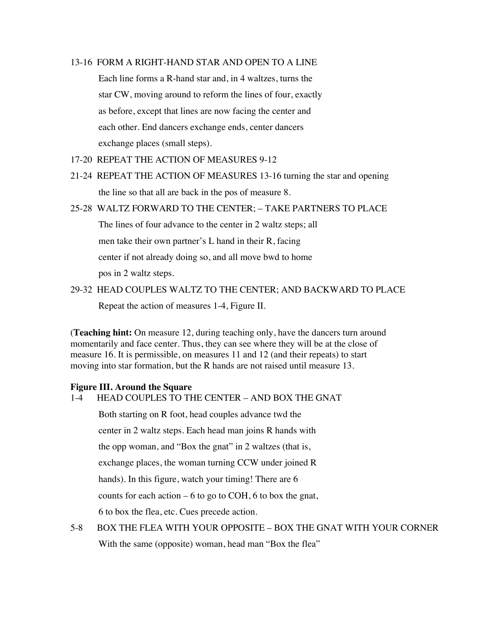#### 13-16 FORM A RIGHT-HAND STAR AND OPEN TO A LINE

Each line forms a R-hand star and, in 4 waltzes, turns the star CW, moving around to reform the lines of four, exactly as before, except that lines are now facing the center and each other. End dancers exchange ends, center dancers exchange places (small steps).

- 17-20 REPEAT THE ACTION OF MEASURES 9-12
- 21-24 REPEAT THE ACTION OF MEASURES 13-16 turning the star and opening the line so that all are back in the pos of measure 8.
- 25-28 WALTZ FORWARD TO THE CENTER; TAKE PARTNERS TO PLACE

The lines of four advance to the center in 2 waltz steps; all

men take their own partner's L hand in their R, facing

center if not already doing so, and all move bwd to home

pos in 2 waltz steps.

29-32 HEAD COUPLES WALTZ TO THE CENTER; AND BACKWARD TO PLACE Repeat the action of measures 1-4, Figure II.

(**Teaching hint:** On measure 12, during teaching only, have the dancers turn around momentarily and face center. Thus, they can see where they will be at the close of measure 16. It is permissible, on measures 11 and 12 (and their repeats) to start moving into star formation, but the R hands are not raised until measure 13.

#### **Figure III. Around the Square**

1-4 HEAD COUPLES TO THE CENTER – AND BOX THE GNAT

Both starting on R foot, head couples advance twd the

center in 2 waltz steps. Each head man joins R hands with

the opp woman, and "Box the gnat" in 2 waltzes (that is,

exchange places, the woman turning CCW under joined R

hands). In this figure, watch your timing! There are 6

counts for each action  $-6$  to go to COH, 6 to box the gnat,

6 to box the flea, etc. Cues precede action.

5-8 BOX THE FLEA WITH YOUR OPPOSITE – BOX THE GNAT WITH YOUR CORNER With the same (opposite) woman, head man "Box the flea"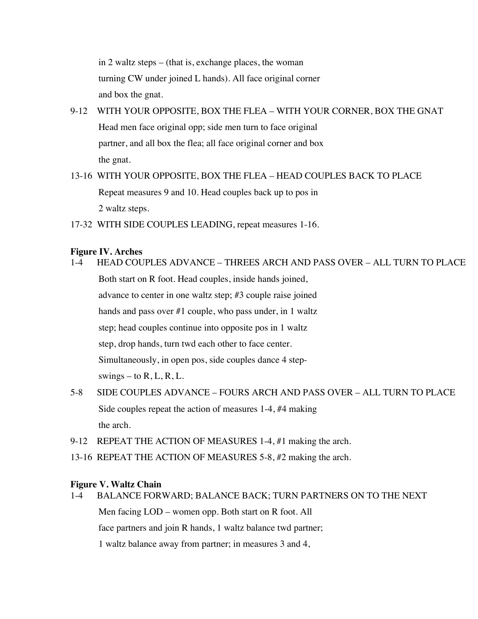in 2 waltz steps – (that is, exchange places, the woman turning CW under joined L hands). All face original corner and box the gnat.

#### 9-12 WITH YOUR OPPOSITE, BOX THE FLEA – WITH YOUR CORNER, BOX THE GNAT

Head men face original opp; side men turn to face original partner, and all box the flea; all face original corner and box the gnat.

## 13-16 WITH YOUR OPPOSITE, BOX THE FLEA – HEAD COUPLES BACK TO PLACE Repeat measures 9 and 10. Head couples back up to pos in 2 waltz steps.

17-32 WITH SIDE COUPLES LEADING, repeat measures 1-16.

#### **Figure IV. Arches**

- 1-4 HEAD COUPLES ADVANCE THREES ARCH AND PASS OVER ALL TURN TO PLACE Both start on R foot. Head couples, inside hands joined, advance to center in one waltz step; #3 couple raise joined hands and pass over #1 couple, who pass under, in 1 waltz step; head couples continue into opposite pos in 1 waltz step, drop hands, turn twd each other to face center. Simultaneously, in open pos, side couples dance 4 stepswings – to  $R, L, R, L$ .
- 5-8 SIDE COUPLES ADVANCE FOURS ARCH AND PASS OVER ALL TURN TO PLACE Side couples repeat the action of measures 1-4, #4 making the arch.
- 9-12 REPEAT THE ACTION OF MEASURES 1-4, #1 making the arch.
- 13-16 REPEAT THE ACTION OF MEASURES 5-8, #2 making the arch.

#### **Figure V. Waltz Chain**

1-4 BALANCE FORWARD; BALANCE BACK; TURN PARTNERS ON TO THE NEXT Men facing LOD – women opp. Both start on R foot. All face partners and join R hands, 1 waltz balance twd partner; 1 waltz balance away from partner; in measures 3 and 4,